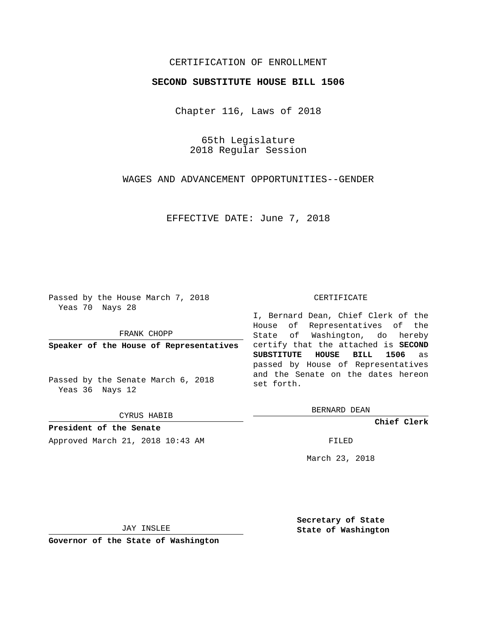## CERTIFICATION OF ENROLLMENT

## **SECOND SUBSTITUTE HOUSE BILL 1506**

Chapter 116, Laws of 2018

65th Legislature 2018 Regular Session

WAGES AND ADVANCEMENT OPPORTUNITIES--GENDER

EFFECTIVE DATE: June 7, 2018

Passed by the House March 7, 2018 Yeas 70 Nays 28

FRANK CHOPP

**Speaker of the House of Representatives**

Passed by the Senate March 6, 2018 Yeas 36 Nays 12

CYRUS HABIB

**President of the Senate** Approved March 21, 2018 10:43 AM FILED

#### CERTIFICATE

I, Bernard Dean, Chief Clerk of the House of Representatives of the State of Washington, do hereby certify that the attached is **SECOND SUBSTITUTE HOUSE BILL 1506** as passed by House of Representatives and the Senate on the dates hereon set forth.

BERNARD DEAN

**Chief Clerk**

March 23, 2018

JAY INSLEE

**Governor of the State of Washington**

**Secretary of State State of Washington**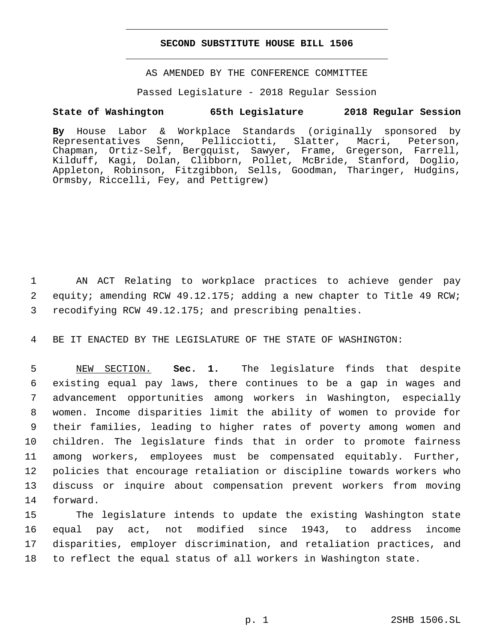### **SECOND SUBSTITUTE HOUSE BILL 1506**

AS AMENDED BY THE CONFERENCE COMMITTEE

Passed Legislature - 2018 Regular Session

# **State of Washington 65th Legislature 2018 Regular Session**

**By** House Labor & Workplace Standards (originally sponsored by Pellicciotti, Slatter, Macri, Peterson, Chapman, Ortiz-Self, Bergquist, Sawyer, Frame, Gregerson, Farrell, Kilduff, Kagi, Dolan, Clibborn, Pollet, McBride, Stanford, Doglio, Appleton, Robinson, Fitzgibbon, Sells, Goodman, Tharinger, Hudgins, Ormsby, Riccelli, Fey, and Pettigrew)

 AN ACT Relating to workplace practices to achieve gender pay equity; amending RCW 49.12.175; adding a new chapter to Title 49 RCW; recodifying RCW 49.12.175; and prescribing penalties.

BE IT ENACTED BY THE LEGISLATURE OF THE STATE OF WASHINGTON:

 NEW SECTION. **Sec. 1.** The legislature finds that despite existing equal pay laws, there continues to be a gap in wages and advancement opportunities among workers in Washington, especially women. Income disparities limit the ability of women to provide for their families, leading to higher rates of poverty among women and children. The legislature finds that in order to promote fairness among workers, employees must be compensated equitably. Further, policies that encourage retaliation or discipline towards workers who discuss or inquire about compensation prevent workers from moving forward.

 The legislature intends to update the existing Washington state equal pay act, not modified since 1943, to address income disparities, employer discrimination, and retaliation practices, and to reflect the equal status of all workers in Washington state.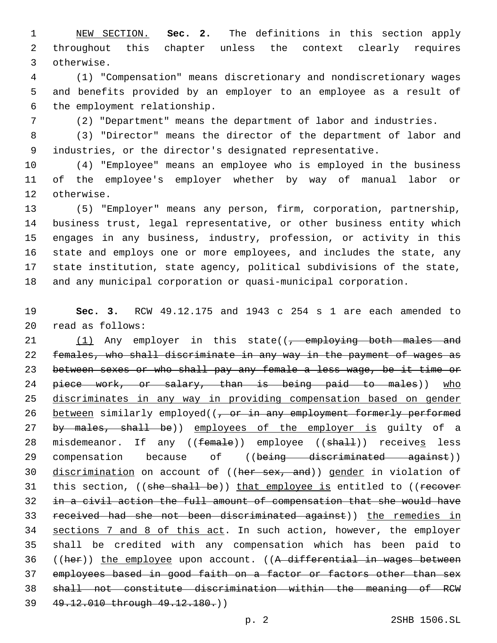NEW SECTION. **Sec. 2.** The definitions in this section apply throughout this chapter unless the context clearly requires otherwise.

 (1) "Compensation" means discretionary and nondiscretionary wages and benefits provided by an employer to an employee as a result of 6 the employment relationship.

(2) "Department" means the department of labor and industries.

 (3) "Director" means the director of the department of labor and industries, or the director's designated representative.

 (4) "Employee" means an employee who is employed in the business of the employee's employer whether by way of manual labor or 12 otherwise.

 (5) "Employer" means any person, firm, corporation, partnership, business trust, legal representative, or other business entity which engages in any business, industry, profession, or activity in this state and employs one or more employees, and includes the state, any state institution, state agency, political subdivisions of the state, and any municipal corporation or quasi-municipal corporation.

 **Sec. 3.** RCW 49.12.175 and 1943 c 254 s 1 are each amended to read as follows:20

21  $(1)$  Any employer in this state( $\left(-\right)$  employing both males and females, who shall discriminate in any way in the payment of wages as between sexes or who shall pay any female a less wage, be it time or 24 piece work, or salary, than is being paid to males)) who discriminates in any way in providing compensation based on gender 26 between similarly employed((, or in any employment formerly performed 27 by males, shall be)) employees of the employer is guilty of a 28 misdemeanor. If any ((female)) employee ((shall)) receives less 29 compensation because of ((being discriminated against)) 30 discrimination on account of ((her sex, and)) gender in violation of 31 this section, ((she shall be)) that employee is entitled to ((recover in a civil action the full amount of compensation that she would have received had she not been discriminated against)) the remedies in sections 7 and 8 of this act. In such action, however, the employer shall be credited with any compensation which has been paid to 36 ((her)) the employee upon account. ((A differential in wages between employees based in good faith on a factor or factors other than sex shall not constitute discrimination within the meaning of RCW 49.12.010 through 49.12.180.))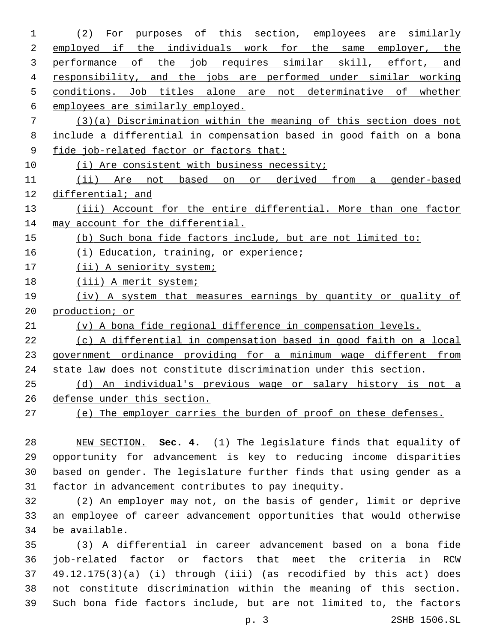| 1  | оf<br>this<br>section, employees<br>(2)<br>For<br>are<br>similarly<br>purposes |
|----|--------------------------------------------------------------------------------|
| 2  | employed if the individuals work for the same employer, the                    |
| 3  | performance of the job requires similar skill, effort, and                     |
| 4  | responsibility, and the jobs are performed under similar working               |
| 5  | conditions. Job titles alone are not determinative of whether                  |
| 6  | employees are similarly employed.                                              |
| 7  | $(3)(a)$ Discrimination within the meaning of this section does not            |
| 8  | include a differential in compensation based in good faith on a bona           |
| 9  | fide job-related factor or factors that:                                       |
| 10 | (i) Are consistent with business necessity;                                    |
| 11 | (ii) Are not based on<br>or derived from<br>a gender-based                     |
| 12 | differential; and                                                              |
| 13 | (iii) Account for the entire differential. More than one factor                |
| 14 | may account for the differential.                                              |
| 15 | (b) Such bona fide factors include, but are not limited to:                    |
| 16 | (i) Education, training, or experience;                                        |
| 17 | (ii) A seniority system;                                                       |
| 18 | (iii) A merit system;                                                          |
| 19 | (iv) A system that measures earnings by quantity or quality of                 |
| 20 | production; or                                                                 |
| 21 | (v) A bona fide regional difference in compensation levels.                    |
| 22 | (c) A differential in compensation based in good faith on a local              |
| 23 | government ordinance providing for a minimum wage different from               |
| 24 | state law does not constitute discrimination under this section.               |
| 25 | An individual's previous wage or salary history is not a<br>(d)                |
| 26 | defense under this section.                                                    |
| 27 | (e) The employer carries the burden of proof on these defenses.                |

 NEW SECTION. **Sec. 4.** (1) The legislature finds that equality of opportunity for advancement is key to reducing income disparities based on gender. The legislature further finds that using gender as a factor in advancement contributes to pay inequity.

 (2) An employer may not, on the basis of gender, limit or deprive an employee of career advancement opportunities that would otherwise 34 be available.

 (3) A differential in career advancement based on a bona fide job-related factor or factors that meet the criteria in RCW 49.12.175(3)(a) (i) through (iii) (as recodified by this act) does not constitute discrimination within the meaning of this section. Such bona fide factors include, but are not limited to, the factors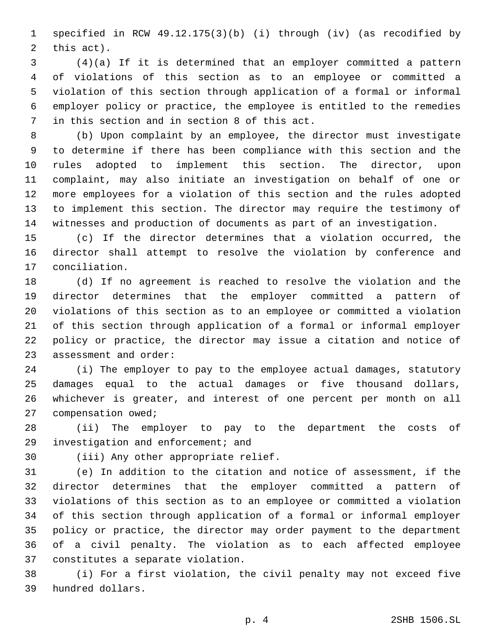specified in RCW 49.12.175(3)(b) (i) through (iv) (as recodified by 2 this act).

 (4)(a) If it is determined that an employer committed a pattern of violations of this section as to an employee or committed a violation of this section through application of a formal or informal employer policy or practice, the employee is entitled to the remedies 7 in this section and in section 8 of this act.

 (b) Upon complaint by an employee, the director must investigate to determine if there has been compliance with this section and the rules adopted to implement this section. The director, upon complaint, may also initiate an investigation on behalf of one or more employees for a violation of this section and the rules adopted to implement this section. The director may require the testimony of witnesses and production of documents as part of an investigation.

 (c) If the director determines that a violation occurred, the director shall attempt to resolve the violation by conference and 17 conciliation.

 (d) If no agreement is reached to resolve the violation and the director determines that the employer committed a pattern of violations of this section as to an employee or committed a violation of this section through application of a formal or informal employer policy or practice, the director may issue a citation and notice of 23 assessment and order:

 (i) The employer to pay to the employee actual damages, statutory damages equal to the actual damages or five thousand dollars, whichever is greater, and interest of one percent per month on all 27 compensation owed;

 (ii) The employer to pay to the department the costs of 29 investigation and enforcement; and

30 (iii) Any other appropriate relief.

 (e) In addition to the citation and notice of assessment, if the director determines that the employer committed a pattern of violations of this section as to an employee or committed a violation of this section through application of a formal or informal employer policy or practice, the director may order payment to the department of a civil penalty. The violation as to each affected employee 37 constitutes a separate violation.

 (i) For a first violation, the civil penalty may not exceed five 39 hundred dollars.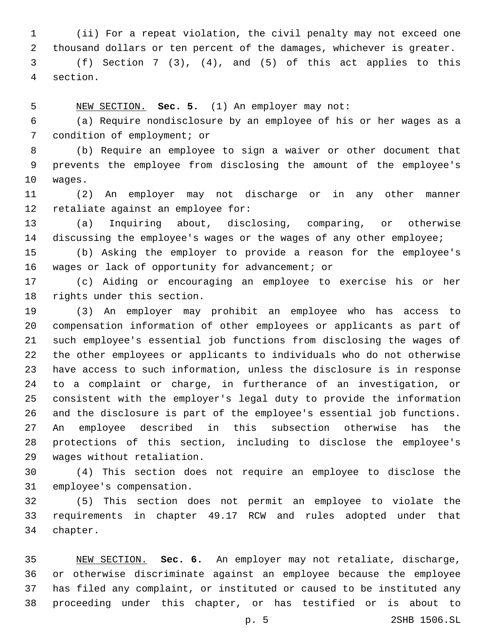(ii) For a repeat violation, the civil penalty may not exceed one thousand dollars or ten percent of the damages, whichever is greater. (f) Section 7 (3), (4), and (5) of this act applies to this section.4

NEW SECTION. **Sec. 5.** (1) An employer may not:

 (a) Require nondisclosure by an employee of his or her wages as a 7 condition of employment; or

 (b) Require an employee to sign a waiver or other document that prevents the employee from disclosing the amount of the employee's 10 waqes.

 (2) An employer may not discharge or in any other manner 12 retaliate against an employee for:

 (a) Inquiring about, disclosing, comparing, or otherwise discussing the employee's wages or the wages of any other employee;

 (b) Asking the employer to provide a reason for the employee's 16 wages or lack of opportunity for advancement; or

 (c) Aiding or encouraging an employee to exercise his or her 18 rights under this section.

 (3) An employer may prohibit an employee who has access to compensation information of other employees or applicants as part of such employee's essential job functions from disclosing the wages of the other employees or applicants to individuals who do not otherwise have access to such information, unless the disclosure is in response to a complaint or charge, in furtherance of an investigation, or consistent with the employer's legal duty to provide the information and the disclosure is part of the employee's essential job functions. An employee described in this subsection otherwise has the protections of this section, including to disclose the employee's 29 wages without retaliation.

 (4) This section does not require an employee to disclose the 31 employee's compensation.

 (5) This section does not permit an employee to violate the requirements in chapter 49.17 RCW and rules adopted under that 34 chapter.

 NEW SECTION. **Sec. 6.** An employer may not retaliate, discharge, or otherwise discriminate against an employee because the employee has filed any complaint, or instituted or caused to be instituted any proceeding under this chapter, or has testified or is about to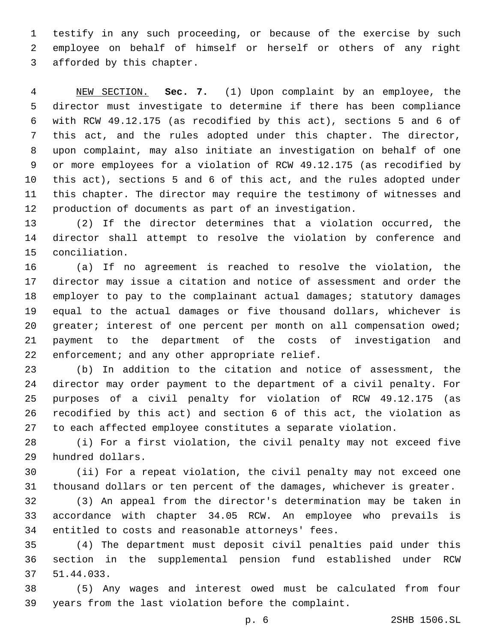testify in any such proceeding, or because of the exercise by such employee on behalf of himself or herself or others of any right 3 afforded by this chapter.

 NEW SECTION. **Sec. 7.** (1) Upon complaint by an employee, the director must investigate to determine if there has been compliance with RCW 49.12.175 (as recodified by this act), sections 5 and 6 of this act, and the rules adopted under this chapter. The director, upon complaint, may also initiate an investigation on behalf of one or more employees for a violation of RCW 49.12.175 (as recodified by this act), sections 5 and 6 of this act, and the rules adopted under this chapter. The director may require the testimony of witnesses and production of documents as part of an investigation.

 (2) If the director determines that a violation occurred, the director shall attempt to resolve the violation by conference and 15 conciliation.

 (a) If no agreement is reached to resolve the violation, the director may issue a citation and notice of assessment and order the employer to pay to the complainant actual damages; statutory damages equal to the actual damages or five thousand dollars, whichever is 20 greater; interest of one percent per month on all compensation owed; payment to the department of the costs of investigation and 22 enforcement; and any other appropriate relief.

 (b) In addition to the citation and notice of assessment, the director may order payment to the department of a civil penalty. For purposes of a civil penalty for violation of RCW 49.12.175 (as recodified by this act) and section 6 of this act, the violation as to each affected employee constitutes a separate violation.

 (i) For a first violation, the civil penalty may not exceed five 29 hundred dollars.

 (ii) For a repeat violation, the civil penalty may not exceed one thousand dollars or ten percent of the damages, whichever is greater.

 (3) An appeal from the director's determination may be taken in accordance with chapter 34.05 RCW. An employee who prevails is 34 entitled to costs and reasonable attorneys' fees.

 (4) The department must deposit civil penalties paid under this section in the supplemental pension fund established under RCW 37 51.44.033.

 (5) Any wages and interest owed must be calculated from four years from the last violation before the complaint.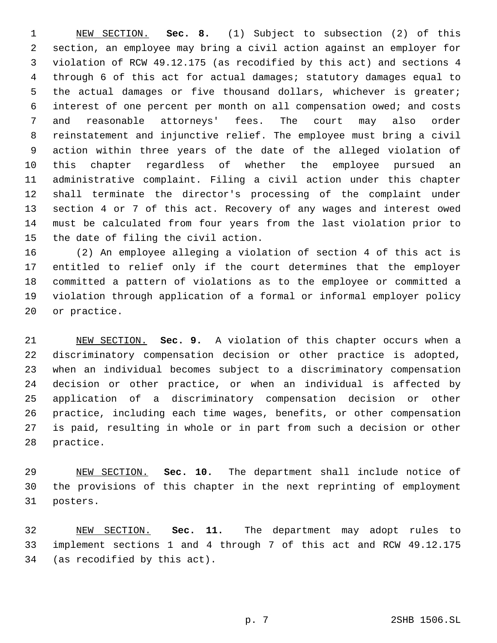NEW SECTION. **Sec. 8.** (1) Subject to subsection (2) of this section, an employee may bring a civil action against an employer for violation of RCW 49.12.175 (as recodified by this act) and sections 4 through 6 of this act for actual damages; statutory damages equal to the actual damages or five thousand dollars, whichever is greater; interest of one percent per month on all compensation owed; and costs and reasonable attorneys' fees. The court may also order reinstatement and injunctive relief. The employee must bring a civil action within three years of the date of the alleged violation of this chapter regardless of whether the employee pursued an administrative complaint. Filing a civil action under this chapter shall terminate the director's processing of the complaint under section 4 or 7 of this act. Recovery of any wages and interest owed must be calculated from four years from the last violation prior to the date of filing the civil action.

 (2) An employee alleging a violation of section 4 of this act is entitled to relief only if the court determines that the employer committed a pattern of violations as to the employee or committed a violation through application of a formal or informal employer policy 20 or practice.

 NEW SECTION. **Sec. 9.** A violation of this chapter occurs when a discriminatory compensation decision or other practice is adopted, when an individual becomes subject to a discriminatory compensation decision or other practice, or when an individual is affected by application of a discriminatory compensation decision or other practice, including each time wages, benefits, or other compensation is paid, resulting in whole or in part from such a decision or other practice.

 NEW SECTION. **Sec. 10.** The department shall include notice of the provisions of this chapter in the next reprinting of employment posters.

 NEW SECTION. **Sec. 11.** The department may adopt rules to implement sections 1 and 4 through 7 of this act and RCW 49.12.175 (as recodified by this act).